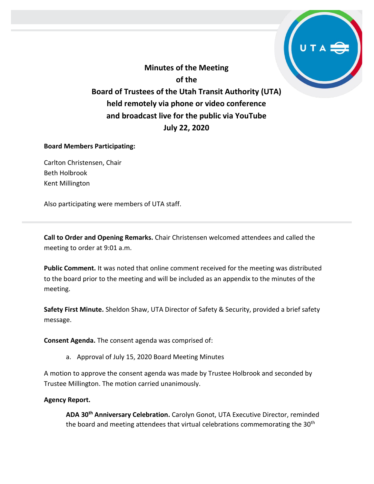**Minutes of the Meeting of the Board of Trustees of the Utah Transit Authority (UTA) held remotely via phone or video conference and broadcast live for the public via YouTube July 22, 2020**

## **Board Members Participating:**

Carlton Christensen, Chair Beth Holbrook Kent Millington

Also participating were members of UTA staff.

**Call to Order and Opening Remarks.** Chair Christensen welcomed attendees and called the meeting to order at 9:01 a.m.

**Public Comment.** It was noted that online comment received for the meeting was distributed to the board prior to the meeting and will be included as an appendix to the minutes of the meeting.

**Safety First Minute.** Sheldon Shaw, UTA Director of Safety & Security, provided a brief safety message.

**Consent Agenda.** The consent agenda was comprised of:

a. Approval of July 15, 2020 Board Meeting Minutes

A motion to approve the consent agenda was made by Trustee Holbrook and seconded by Trustee Millington. The motion carried unanimously.

## **Agency Report.**

**ADA 30th Anniversary Celebration.** Carolyn Gonot, UTA Executive Director, reminded the board and meeting attendees that virtual celebrations commemorating the 30<sup>th</sup>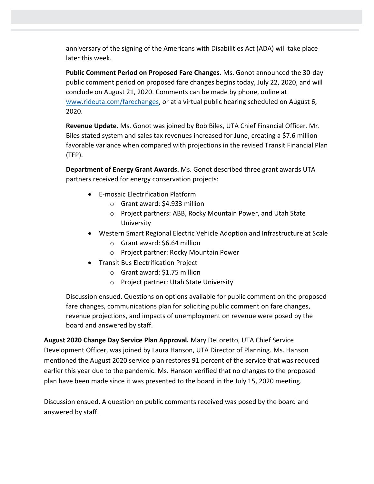anniversary of the signing of the Americans with Disabilities Act (ADA) will take place later this week.

**Public Comment Period on Proposed Fare Changes.** Ms. Gonot announced the 30-day public comment period on proposed fare changes begins today, July 22, 2020, and will conclude on August 21, 2020. Comments can be made by phone, online at [www.rideuta.com/farechanges,](http://www.rideuta.com/farechanges) or at a virtual public hearing scheduled on August 6, 2020.

**Revenue Update.** Ms. Gonot was joined by Bob Biles, UTA Chief Financial Officer. Mr. Biles stated system and sales tax revenues increased for June, creating a \$7.6 million favorable variance when compared with projections in the revised Transit Financial Plan (TFP).

**Department of Energy Grant Awards.** Ms. Gonot described three grant awards UTA partners received for energy conservation projects:

- E-mosaic Electrification Platform
	- o Grant award: \$4.933 million
	- o Project partners: ABB, Rocky Mountain Power, and Utah State **University**
- Western Smart Regional Electric Vehicle Adoption and Infrastructure at Scale
	- o Grant award: \$6.64 million
	- o Project partner: Rocky Mountain Power
- Transit Bus Electrification Project
	- o Grant award: \$1.75 million
	- o Project partner: Utah State University

Discussion ensued. Questions on options available for public comment on the proposed fare changes, communications plan for soliciting public comment on fare changes, revenue projections, and impacts of unemployment on revenue were posed by the board and answered by staff.

**August 2020 Change Day Service Plan Approval.** Mary DeLoretto, UTA Chief Service Development Officer, was joined by Laura Hanson, UTA Director of Planning. Ms. Hanson mentioned the August 2020 service plan restores 91 percent of the service that was reduced earlier this year due to the pandemic. Ms. Hanson verified that no changes to the proposed plan have been made since it was presented to the board in the July 15, 2020 meeting.

Discussion ensued. A question on public comments received was posed by the board and answered by staff.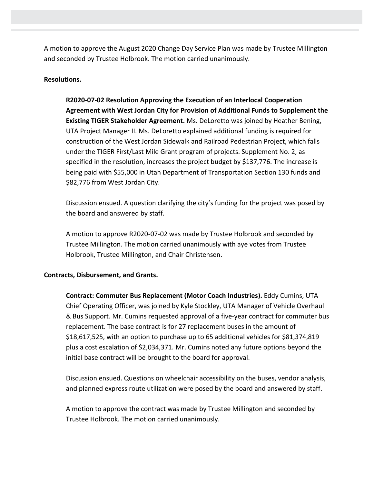A motion to approve the August 2020 Change Day Service Plan was made by Trustee Millington and seconded by Trustee Holbrook. The motion carried unanimously.

### **Resolutions.**

**R2020-07-02 Resolution Approving the Execution of an Interlocal Cooperation Agreement with West Jordan City for Provision of Additional Funds to Supplement the Existing TIGER Stakeholder Agreement.** Ms. DeLoretto was joined by Heather Bening, UTA Project Manager II. Ms. DeLoretto explained additional funding is required for construction of the West Jordan Sidewalk and Railroad Pedestrian Project, which falls under the TIGER First/Last Mile Grant program of projects. Supplement No. 2, as specified in the resolution, increases the project budget by \$137,776. The increase is being paid with \$55,000 in Utah Department of Transportation Section 130 funds and \$82,776 from West Jordan City.

Discussion ensued. A question clarifying the city's funding for the project was posed by the board and answered by staff.

A motion to approve R2020-07-02 was made by Trustee Holbrook and seconded by Trustee Millington. The motion carried unanimously with aye votes from Trustee Holbrook, Trustee Millington, and Chair Christensen.

#### **Contracts, Disbursement, and Grants.**

**Contract: Commuter Bus Replacement (Motor Coach Industries).** Eddy Cumins, UTA Chief Operating Officer, was joined by Kyle Stockley, UTA Manager of Vehicle Overhaul & Bus Support. Mr. Cumins requested approval of a five-year contract for commuter bus replacement. The base contract is for 27 replacement buses in the amount of \$18,617,525, with an option to purchase up to 65 additional vehicles for \$81,374,819 plus a cost escalation of \$2,034,371. Mr. Cumins noted any future options beyond the initial base contract will be brought to the board for approval.

Discussion ensued. Questions on wheelchair accessibility on the buses, vendor analysis, and planned express route utilization were posed by the board and answered by staff.

A motion to approve the contract was made by Trustee Millington and seconded by Trustee Holbrook. The motion carried unanimously.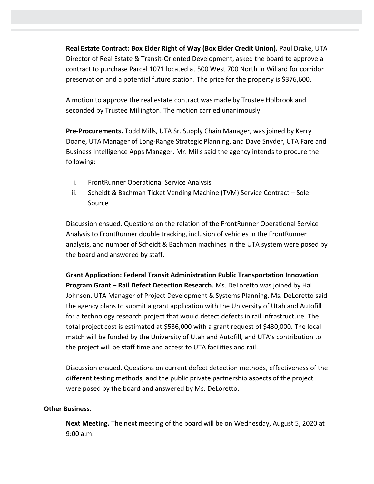**Real Estate Contract: Box Elder Right of Way (Box Elder Credit Union).** Paul Drake, UTA Director of Real Estate & Transit-Oriented Development, asked the board to approve a contract to purchase Parcel 1071 located at 500 West 700 North in Willard for corridor preservation and a potential future station. The price for the property is \$376,600.

A motion to approve the real estate contract was made by Trustee Holbrook and seconded by Trustee Millington. The motion carried unanimously.

**Pre-Procurements.** Todd Mills, UTA Sr. Supply Chain Manager, was joined by Kerry Doane, UTA Manager of Long-Range Strategic Planning, and Dave Snyder, UTA Fare and Business Intelligence Apps Manager. Mr. Mills said the agency intends to procure the following:

- i. FrontRunner Operational Service Analysis
- ii. Scheidt & Bachman Ticket Vending Machine (TVM) Service Contract Sole Source

Discussion ensued. Questions on the relation of the FrontRunner Operational Service Analysis to FrontRunner double tracking, inclusion of vehicles in the FrontRunner analysis, and number of Scheidt & Bachman machines in the UTA system were posed by the board and answered by staff.

**Grant Application: Federal Transit Administration Public Transportation Innovation Program Grant – Rail Defect Detection Research.** Ms. DeLoretto was joined by Hal Johnson, UTA Manager of Project Development & Systems Planning. Ms. DeLoretto said the agency plans to submit a grant application with the University of Utah and Autofill for a technology research project that would detect defects in rail infrastructure. The total project cost is estimated at \$536,000 with a grant request of \$430,000. The local match will be funded by the University of Utah and Autofill, and UTA's contribution to the project will be staff time and access to UTA facilities and rail.

Discussion ensued. Questions on current defect detection methods, effectiveness of the different testing methods, and the public private partnership aspects of the project were posed by the board and answered by Ms. DeLoretto.

## **Other Business.**

**Next Meeting.** The next meeting of the board will be on Wednesday, August 5, 2020 at 9:00 a.m.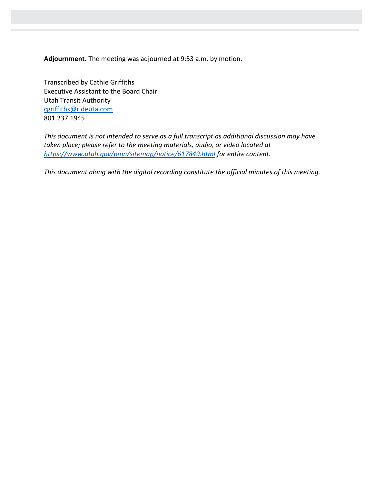**Adjournment.** The meeting was adjourned at 9:53 a.m. by motion.

Transcribed by Cathie Griffiths Executive Assistant to the Board Chair Utah Transit Authority [cgriffiths@rideuta.com](mailto:cgriffiths@rideuta.com) 801.237.1945

*This document is not intended to serve as a full transcript as additional discussion may have taken place; please refer to the meeting materials, audio, or video located at <https://www.utah.gov/pmn/sitemap/notice/617849.html> for entire content.*

*This document along with the digital recording constitute the official minutes of this meeting.*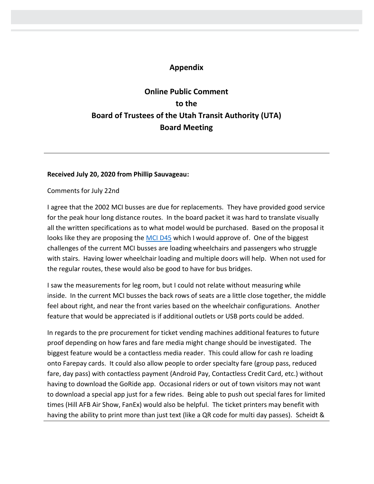# **Appendix**

# **Online Public Comment to the Board of Trustees of the Utah Transit Authority (UTA) Board Meeting**

#### **Received July 20, 2020 from Phillip Sauvageau:**

Comments for July 22nd

I agree that the 2002 MCI busses are due for replacements. They have provided good service for the peak hour long distance routes. In the board packet it was hard to translate visually all the written specifications as to what model would be purchased. Based on the proposal it looks like they are proposing the [MCI D45](https://www.mcicoach.com/public-sector/public-D45_CRT_LE.htm) which I would approve of. One of the biggest challenges of the current MCI busses are loading wheelchairs and passengers who struggle with stairs. Having lower wheelchair loading and multiple doors will help. When not used for the regular routes, these would also be good to have for bus bridges.

I saw the measurements for leg room, but I could not relate without measuring while inside. In the current MCI busses the back rows of seats are a little close together, the middle feel about right, and near the front varies based on the wheelchair configurations. Another feature that would be appreciated is if additional outlets or USB ports could be added.

In regards to the pre procurement for ticket vending machines additional features to future proof depending on how fares and fare media might change should be investigated. The biggest feature would be a contactless media reader. This could allow for cash re loading onto Farepay cards. It could also allow people to order specialty fare (group pass, reduced fare, day pass) with contactless payment (Android Pay, Contactless Credit Card, etc.) without having to download the GoRide app. Occasional riders or out of town visitors may not want to download a special app just for a few rides. Being able to push out special fares for limited times (Hill AFB Air Show, FanEx) would also be helpful. The ticket printers may benefit with having the ability to print more than just text (like a QR code for multi day passes). Scheidt &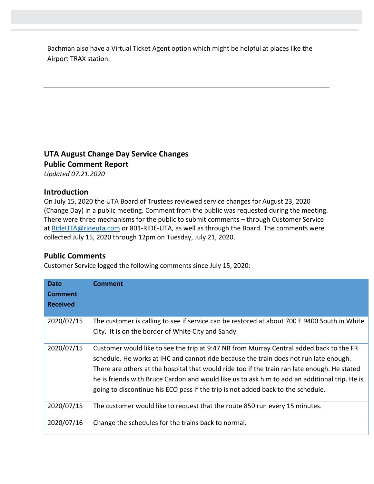Bachman also have a Virtual Ticket Agent option which might be helpful at places like the Airport TRAX station.

# **UTA August Change Day Service Changes Public Comment Report**

*Updated 07.21.2020*

## **Introduction**

On July 15, 2020 the UTA Board of Trustees reviewed service changes for August 23, 2020 (Change Day) in a public meeting. Comment from the public was requested during the meeting. There were three mechanisms for the public to submit comments – through Customer Service at [RideUTA@rideuta.com](mailto:RideUTA@rideuta.com) or 801-RIDE-UTA, as well as through the Board. The comments were collected July 15, 2020 through 12pm on Tuesday, July 21, 2020.

## **Public Comments**

Customer Service logged the following comments since July 15, 2020:

| <b>Date</b><br><b>Comment</b><br><b>Received</b> | <b>Comment</b>                                                                                                                                                                                                                                                                                                                                                                                                                                                        |
|--------------------------------------------------|-----------------------------------------------------------------------------------------------------------------------------------------------------------------------------------------------------------------------------------------------------------------------------------------------------------------------------------------------------------------------------------------------------------------------------------------------------------------------|
| 2020/07/15                                       | The customer is calling to see if service can be restored at about 700 E 9400 South in White<br>City. It is on the border of White City and Sandy.                                                                                                                                                                                                                                                                                                                    |
| 2020/07/15                                       | Customer would like to see the trip at 9:47 NB from Murray Central added back to the FR<br>schedule. He works at IHC and cannot ride because the train does not run late enough.<br>There are others at the hospital that would ride too if the train ran late enough. He stated<br>he is friends with Bruce Cardon and would like us to ask him to add an additional trip. He is<br>going to discontinue his ECO pass if the trip is not added back to the schedule. |
| 2020/07/15                                       | The customer would like to request that the route 850 run every 15 minutes.                                                                                                                                                                                                                                                                                                                                                                                           |
| 2020/07/16                                       | Change the schedules for the trains back to normal.                                                                                                                                                                                                                                                                                                                                                                                                                   |